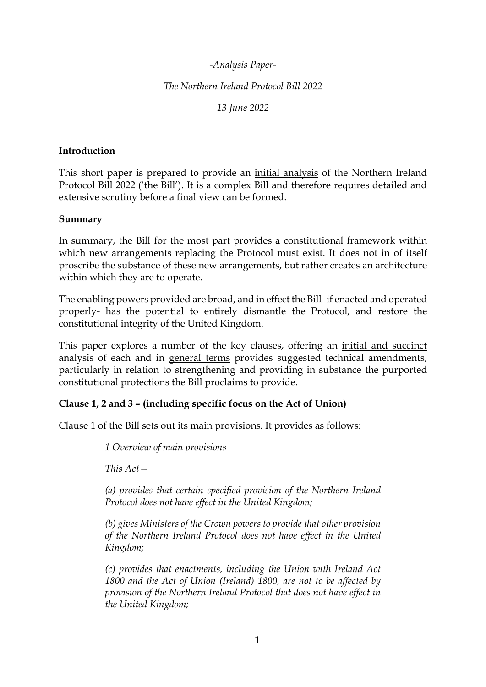## *-Analysis Paper-*

*The Northern Ireland Protocol Bill 2022*

*13 June 2022*

### **Introduction**

This short paper is prepared to provide an initial analysis of the Northern Ireland Protocol Bill 2022 ('the Bill'). It is a complex Bill and therefore requires detailed and extensive scrutiny before a final view can be formed.

#### **Summary**

In summary, the Bill for the most part provides a constitutional framework within which new arrangements replacing the Protocol must exist. It does not in of itself proscribe the substance of these new arrangements, but rather creates an architecture within which they are to operate.

The enabling powers provided are broad, and in effect the Bill- if enacted and operated properly- has the potential to entirely dismantle the Protocol, and restore the constitutional integrity of the United Kingdom.

This paper explores a number of the key clauses, offering an initial and succinct analysis of each and in general terms provides suggested technical amendments, particularly in relation to strengthening and providing in substance the purported constitutional protections the Bill proclaims to provide.

# **Clause 1, 2 and 3 – (including specific focus on the Act of Union)**

Clause 1 of the Bill sets out its main provisions. It provides as follows:

*1 Overview of main provisions* 

*This Act—*

*(a) provides that certain specified provision of the Northern Ireland Protocol does not have effect in the United Kingdom;* 

*(b) gives Ministers of the Crown powers to provide that other provision of the Northern Ireland Protocol does not have effect in the United Kingdom;* 

*(c) provides that enactments, including the Union with Ireland Act 1800 and the Act of Union (Ireland) 1800, are not to be affected by provision of the Northern Ireland Protocol that does not have effect in the United Kingdom;*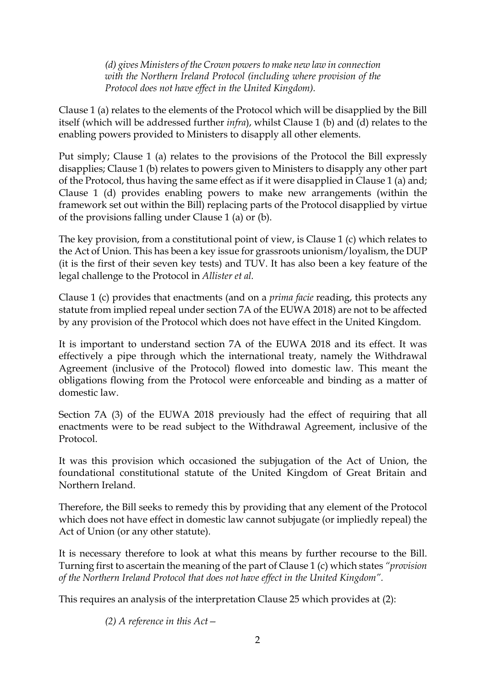*(d) gives Ministers of the Crown powers to make new law in connection with the Northern Ireland Protocol (including where provision of the Protocol does not have effect in the United Kingdom).*

Clause 1 (a) relates to the elements of the Protocol which will be disapplied by the Bill itself (which will be addressed further *infra*), whilst Clause 1 (b) and (d) relates to the enabling powers provided to Ministers to disapply all other elements.

Put simply; Clause 1 (a) relates to the provisions of the Protocol the Bill expressly disapplies; Clause 1 (b) relates to powers given to Ministers to disapply any other part of the Protocol, thus having the same effect as if it were disapplied in Clause 1 (a) and; Clause 1 (d) provides enabling powers to make new arrangements (within the framework set out within the Bill) replacing parts of the Protocol disapplied by virtue of the provisions falling under Clause 1 (a) or (b).

The key provision, from a constitutional point of view, is Clause 1 (c) which relates to the Act of Union. This has been a key issue for grassroots unionism/loyalism, the DUP (it is the first of their seven key tests) and TUV. It has also been a key feature of the legal challenge to the Protocol in *Allister et al.* 

Clause 1 (c) provides that enactments (and on a *prima facie* reading, this protects any statute from implied repeal under section 7A of the EUWA 2018) are not to be affected by any provision of the Protocol which does not have effect in the United Kingdom.

It is important to understand section 7A of the EUWA 2018 and its effect. It was effectively a pipe through which the international treaty, namely the Withdrawal Agreement (inclusive of the Protocol) flowed into domestic law. This meant the obligations flowing from the Protocol were enforceable and binding as a matter of domestic law.

Section 7A (3) of the EUWA 2018 previously had the effect of requiring that all enactments were to be read subject to the Withdrawal Agreement, inclusive of the Protocol.

It was this provision which occasioned the subjugation of the Act of Union, the foundational constitutional statute of the United Kingdom of Great Britain and Northern Ireland.

Therefore, the Bill seeks to remedy this by providing that any element of the Protocol which does not have effect in domestic law cannot subjugate (or impliedly repeal) the Act of Union (or any other statute).

It is necessary therefore to look at what this means by further recourse to the Bill. Turning first to ascertain the meaning of the part of Clause 1 (c) which states *"provision of the Northern Ireland Protocol that does not have effect in the United Kingdom".*

This requires an analysis of the interpretation Clause 25 which provides at (2):

*(2) A reference in this Act—*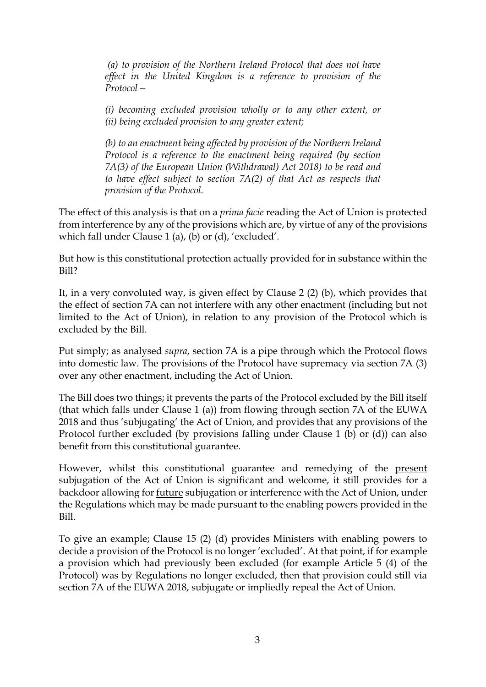*(a) to provision of the Northern Ireland Protocol that does not have effect in the United Kingdom is a reference to provision of the Protocol—*

*(i) becoming excluded provision wholly or to any other extent, or (ii) being excluded provision to any greater extent;* 

*(b) to an enactment being affected by provision of the Northern Ireland Protocol is a reference to the enactment being required (by section 7A(3) of the European Union (Withdrawal) Act 2018) to be read and to have effect subject to section 7A(2) of that Act as respects that provision of the Protocol.*

The effect of this analysis is that on a *prima facie* reading the Act of Union is protected from interference by any of the provisions which are, by virtue of any of the provisions which fall under Clause 1 (a), (b) or (d), 'excluded'.

But how is this constitutional protection actually provided for in substance within the Bill?

It, in a very convoluted way, is given effect by Clause 2 (2) (b), which provides that the effect of section 7A can not interfere with any other enactment (including but not limited to the Act of Union), in relation to any provision of the Protocol which is excluded by the Bill.

Put simply; as analysed *supra*, section 7A is a pipe through which the Protocol flows into domestic law. The provisions of the Protocol have supremacy via section 7A (3) over any other enactment, including the Act of Union.

The Bill does two things; it prevents the parts of the Protocol excluded by the Bill itself (that which falls under Clause 1 (a)) from flowing through section 7A of the EUWA 2018 and thus 'subjugating' the Act of Union, and provides that any provisions of the Protocol further excluded (by provisions falling under Clause 1 (b) or (d)) can also benefit from this constitutional guarantee.

However, whilst this constitutional guarantee and remedying of the present subjugation of the Act of Union is significant and welcome, it still provides for a backdoor allowing for future subjugation or interference with the Act of Union, under the Regulations which may be made pursuant to the enabling powers provided in the Bill.

To give an example; Clause 15 (2) (d) provides Ministers with enabling powers to decide a provision of the Protocol is no longer 'excluded'. At that point, if for example a provision which had previously been excluded (for example Article 5 (4) of the Protocol) was by Regulations no longer excluded, then that provision could still via section 7A of the EUWA 2018, subjugate or impliedly repeal the Act of Union.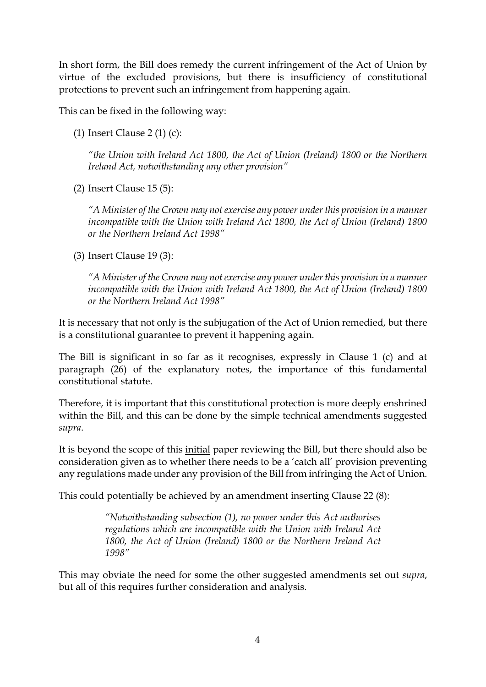In short form, the Bill does remedy the current infringement of the Act of Union by virtue of the excluded provisions, but there is insufficiency of constitutional protections to prevent such an infringement from happening again.

This can be fixed in the following way:

(1) Insert Clause 2 (1) (c):

*"the Union with Ireland Act 1800, the Act of Union (Ireland) 1800 or the Northern Ireland Act, notwithstanding any other provision"*

(2) Insert Clause 15 (5):

*"A Minister of the Crown may not exercise any power under this provision in a manner incompatible with the Union with Ireland Act 1800, the Act of Union (Ireland) 1800 or the Northern Ireland Act 1998"*

(3) Insert Clause 19 (3):

*"A Minister of the Crown may not exercise any power under this provision in a manner incompatible with the Union with Ireland Act 1800, the Act of Union (Ireland) 1800 or the Northern Ireland Act 1998"*

It is necessary that not only is the subjugation of the Act of Union remedied, but there is a constitutional guarantee to prevent it happening again.

The Bill is significant in so far as it recognises, expressly in Clause 1 (c) and at paragraph (26) of the explanatory notes, the importance of this fundamental constitutional statute.

Therefore, it is important that this constitutional protection is more deeply enshrined within the Bill, and this can be done by the simple technical amendments suggested *supra*.

It is beyond the scope of this initial paper reviewing the Bill, but there should also be consideration given as to whether there needs to be a 'catch all' provision preventing any regulations made under any provision of the Bill from infringing the Act of Union.

This could potentially be achieved by an amendment inserting Clause 22 (8):

*"Notwithstanding subsection (1), no power under this Act authorises regulations which are incompatible with the Union with Ireland Act 1800, the Act of Union (Ireland) 1800 or the Northern Ireland Act 1998"*

This may obviate the need for some the other suggested amendments set out *supra*, but all of this requires further consideration and analysis.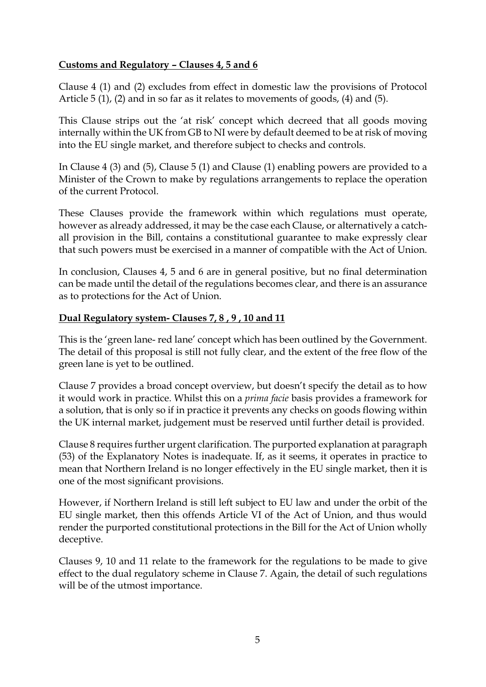# **Customs and Regulatory – Clauses 4, 5 and 6**

Clause 4 (1) and (2) excludes from effect in domestic law the provisions of Protocol Article 5 (1), (2) and in so far as it relates to movements of goods, (4) and (5).

This Clause strips out the 'at risk' concept which decreed that all goods moving internally within the UK from GB to NI were by default deemed to be at risk of moving into the EU single market, and therefore subject to checks and controls.

In Clause 4 (3) and (5), Clause 5 (1) and Clause (1) enabling powers are provided to a Minister of the Crown to make by regulations arrangements to replace the operation of the current Protocol.

These Clauses provide the framework within which regulations must operate, however as already addressed, it may be the case each Clause, or alternatively a catchall provision in the Bill, contains a constitutional guarantee to make expressly clear that such powers must be exercised in a manner of compatible with the Act of Union.

In conclusion, Clauses 4, 5 and 6 are in general positive, but no final determination can be made until the detail of the regulations becomes clear, and there is an assurance as to protections for the Act of Union.

### **Dual Regulatory system- Clauses 7, 8 , 9 , 10 and 11**

This is the 'green lane- red lane' concept which has been outlined by the Government. The detail of this proposal is still not fully clear, and the extent of the free flow of the green lane is yet to be outlined.

Clause 7 provides a broad concept overview, but doesn't specify the detail as to how it would work in practice. Whilst this on a *prima facie* basis provides a framework for a solution, that is only so if in practice it prevents any checks on goods flowing within the UK internal market, judgement must be reserved until further detail is provided.

Clause 8 requires further urgent clarification. The purported explanation at paragraph (53) of the Explanatory Notes is inadequate. If, as it seems, it operates in practice to mean that Northern Ireland is no longer effectively in the EU single market, then it is one of the most significant provisions.

However, if Northern Ireland is still left subject to EU law and under the orbit of the EU single market, then this offends Article VI of the Act of Union, and thus would render the purported constitutional protections in the Bill for the Act of Union wholly deceptive.

Clauses 9, 10 and 11 relate to the framework for the regulations to be made to give effect to the dual regulatory scheme in Clause 7. Again, the detail of such regulations will be of the utmost importance.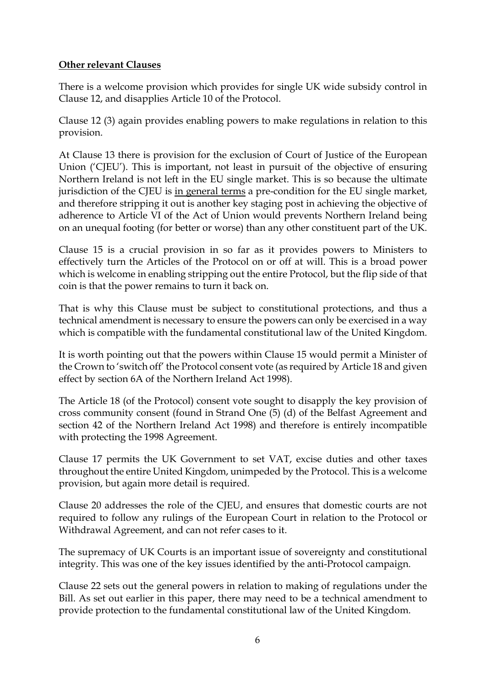# **Other relevant Clauses**

There is a welcome provision which provides for single UK wide subsidy control in Clause 12, and disapplies Article 10 of the Protocol.

Clause 12 (3) again provides enabling powers to make regulations in relation to this provision.

At Clause 13 there is provision for the exclusion of Court of Justice of the European Union ('CJEU'). This is important, not least in pursuit of the objective of ensuring Northern Ireland is not left in the EU single market. This is so because the ultimate jurisdiction of the CJEU is in general terms a pre-condition for the EU single market, and therefore stripping it out is another key staging post in achieving the objective of adherence to Article VI of the Act of Union would prevents Northern Ireland being on an unequal footing (for better or worse) than any other constituent part of the UK.

Clause 15 is a crucial provision in so far as it provides powers to Ministers to effectively turn the Articles of the Protocol on or off at will. This is a broad power which is welcome in enabling stripping out the entire Protocol, but the flip side of that coin is that the power remains to turn it back on.

That is why this Clause must be subject to constitutional protections, and thus a technical amendment is necessary to ensure the powers can only be exercised in a way which is compatible with the fundamental constitutional law of the United Kingdom.

It is worth pointing out that the powers within Clause 15 would permit a Minister of the Crown to 'switch off' the Protocol consent vote (as required by Article 18 and given effect by section 6A of the Northern Ireland Act 1998).

The Article 18 (of the Protocol) consent vote sought to disapply the key provision of cross community consent (found in Strand One (5) (d) of the Belfast Agreement and section 42 of the Northern Ireland Act 1998) and therefore is entirely incompatible with protecting the 1998 Agreement.

Clause 17 permits the UK Government to set VAT, excise duties and other taxes throughout the entire United Kingdom, unimpeded by the Protocol. This is a welcome provision, but again more detail is required.

Clause 20 addresses the role of the CJEU, and ensures that domestic courts are not required to follow any rulings of the European Court in relation to the Protocol or Withdrawal Agreement, and can not refer cases to it.

The supremacy of UK Courts is an important issue of sovereignty and constitutional integrity. This was one of the key issues identified by the anti-Protocol campaign.

Clause 22 sets out the general powers in relation to making of regulations under the Bill. As set out earlier in this paper, there may need to be a technical amendment to provide protection to the fundamental constitutional law of the United Kingdom.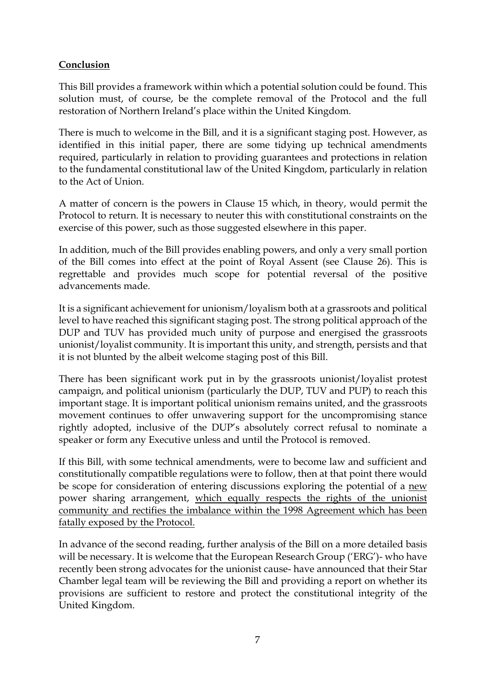# **Conclusion**

This Bill provides a framework within which a potential solution could be found. This solution must, of course, be the complete removal of the Protocol and the full restoration of Northern Ireland's place within the United Kingdom.

There is much to welcome in the Bill, and it is a significant staging post. However, as identified in this initial paper, there are some tidying up technical amendments required, particularly in relation to providing guarantees and protections in relation to the fundamental constitutional law of the United Kingdom, particularly in relation to the Act of Union.

A matter of concern is the powers in Clause 15 which, in theory, would permit the Protocol to return. It is necessary to neuter this with constitutional constraints on the exercise of this power, such as those suggested elsewhere in this paper.

In addition, much of the Bill provides enabling powers, and only a very small portion of the Bill comes into effect at the point of Royal Assent (see Clause 26). This is regrettable and provides much scope for potential reversal of the positive advancements made.

It is a significant achievement for unionism/loyalism both at a grassroots and political level to have reached this significant staging post. The strong political approach of the DUP and TUV has provided much unity of purpose and energised the grassroots unionist/loyalist community. It is important this unity, and strength, persists and that it is not blunted by the albeit welcome staging post of this Bill.

There has been significant work put in by the grassroots unionist/loyalist protest campaign, and political unionism (particularly the DUP, TUV and PUP) to reach this important stage. It is important political unionism remains united, and the grassroots movement continues to offer unwavering support for the uncompromising stance rightly adopted, inclusive of the DUP's absolutely correct refusal to nominate a speaker or form any Executive unless and until the Protocol is removed.

If this Bill, with some technical amendments, were to become law and sufficient and constitutionally compatible regulations were to follow, then at that point there would be scope for consideration of entering discussions exploring the potential of a new power sharing arrangement, which equally respects the rights of the unionist community and rectifies the imbalance within the 1998 Agreement which has been fatally exposed by the Protocol.

In advance of the second reading, further analysis of the Bill on a more detailed basis will be necessary. It is welcome that the European Research Group ('ERG')- who have recently been strong advocates for the unionist cause- have announced that their Star Chamber legal team will be reviewing the Bill and providing a report on whether its provisions are sufficient to restore and protect the constitutional integrity of the United Kingdom.